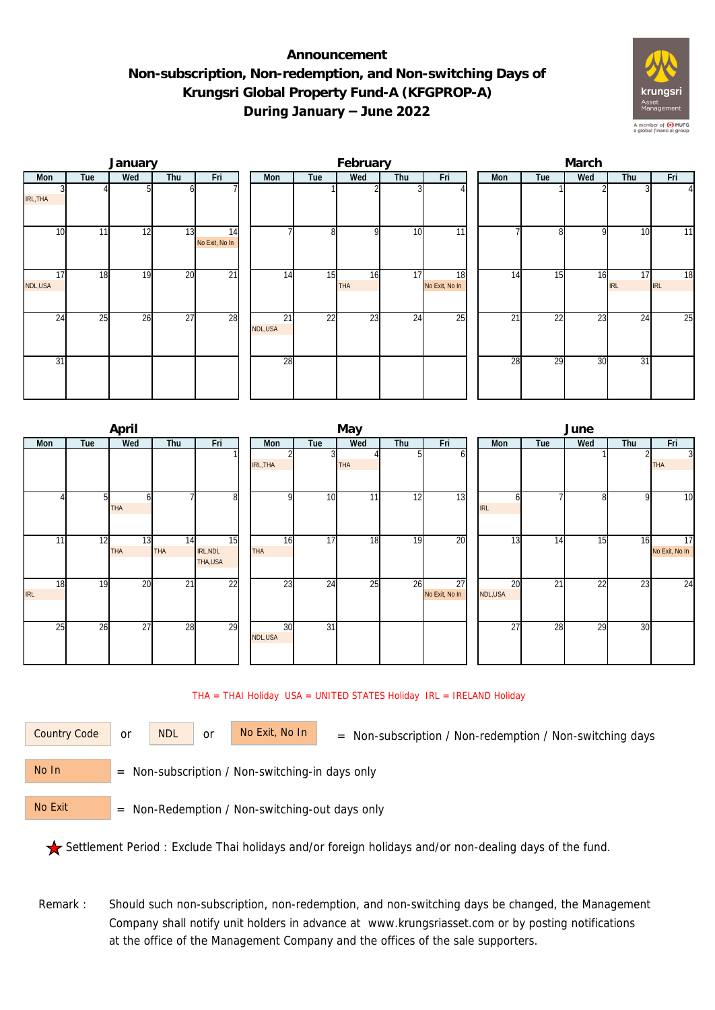## **Announcement Non-subscription, Non-redemption, and Non-switching Days of Krungsri Global Property Fund-A (KFGPROP-A) During January – June 2022**



|               |     | January |                 |                      |               |                | February         |     |                      | March           |                 |                 |                  |           |  |  |  |
|---------------|-----|---------|-----------------|----------------------|---------------|----------------|------------------|-----|----------------------|-----------------|-----------------|-----------------|------------------|-----------|--|--|--|
| Mon           | Tue | Wed     | Thu             | Fri                  | Mon           | Tue            | Wed              | Thu | Fri                  | Mon             | Tue             | Wed             | Thu              | Fri       |  |  |  |
| IRL, THA      |     |         |                 |                      |               |                |                  |     |                      |                 |                 |                 |                  |           |  |  |  |
| 10            | 11  | 12      | 13              | 14<br>No Exit, No In |               | 8 <sup>1</sup> | $\Omega$         | 10  | 11                   |                 | 81              | $\Omega$        | 10               | 11        |  |  |  |
| 17<br>NDL,USA | 18  | 19      | 20              | $\overline{21}$      | 14            | 15             | 16<br><b>THA</b> | 17  | 18<br>No Exit, No In | 14              | 15              | 16              | 17<br><b>IRL</b> | 18<br>IRL |  |  |  |
| 24            | 25  | 26      | $\overline{27}$ | 28                   | 21<br>NDL,USA | 22             | 23               | 24  | $\overline{25}$      | $\overline{21}$ | $\overline{22}$ | $\overline{23}$ | 24               | 25        |  |  |  |
| 31            |     |         |                 |                      | 28            |                |                  |     |                      | 28              | 29              | 30              | 31               |           |  |  |  |

|                  |     | April            |                 |                           |               | June            |            |     |                      |                 |                 |                 |     |                                   |
|------------------|-----|------------------|-----------------|---------------------------|---------------|-----------------|------------|-----|----------------------|-----------------|-----------------|-----------------|-----|-----------------------------------|
| <b>Mon</b>       | Tue | Wed              | Thu             | Fri                       | Mon           | Tue             | Wed        | Thu | Fri                  | <b>Mon</b>      | Tue             | Wed             | Thu | Fri                               |
|                  |     |                  |                 |                           | IRL, THA      | $\overline{3}$  | <b>THA</b> | ы   | оl                   |                 |                 |                 |     | $\overline{3}$<br><b>THA</b>      |
|                  | 51  | <b>THA</b>       |                 | 8                         |               | 10              | 11         | 12  | 13                   | n<br><b>IRL</b> |                 | 81              | o   | $\overline{10}$                   |
| 11               | 12  | 13<br><b>THA</b> | 14<br>THA       | 15<br>IRL, NDL<br>THA,USA | 16<br>THA     | 17              | 18         | 19  | 20                   | 13              | 14              | 15 <sub>1</sub> | 16  | $\overline{17}$<br>No Exit, No In |
| 18<br><b>IRL</b> | 19  | 20               | $\overline{21}$ | 22                        | 23            | $2\overline{4}$ | 25         | 26  | 27<br>No Exit, No In | 20<br>NDL,USA   | $\overline{21}$ | $\overline{22}$ | 23  | $\overline{24}$                   |
| 25               | 26  | 27               | 28              | 29                        | 30<br>NDL,USA | $\overline{31}$ |            |     |                      | 27              | 28              | 29              | 30  |                                   |

## THA = THAI Holiday USA = UNITED STATES Holiday IRL = IRELAND Holiday

| Country Code | C |
|--------------|---|
|              |   |

or NDL or

or  $NOL$  or  $NO Exit, No In$  = Non-subscription / Non-redemption / Non-switching days

 = Non-subscription / Non-switching-in days only No In

 = Non-Redemption / Non-switching-out days only No Exit

Settlement Period : Exclude Thai holidays and/or foreign holidays and/or non-dealing days of the fund.

Remark : Should such non-subscription, non-redemption, and non-switching days be changed, the Management Company shall notify unit holders in advance at www.krungsriasset.com or by posting notifications at the office of the Management Company and the offices of the sale supporters.